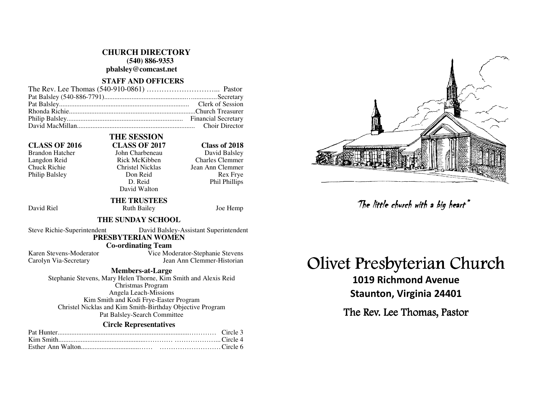#### **CHURCH DIRECTORY**

 **(540) 886-9353** 

**pbalsley@comcast.net** 

## **STAFF AND OFFICERS**

 **THE SESSION** 

#### **CLASS OF 2016 CLASS OF 2017 Class of 2018**

Philip Balsley Don Reid

# Brandon Hatcher John Charbeneau<br>Langdon Reid Balsley Rick McKibben Langdon Reid Rick McKibben Charles Clemmer

David Balsley Chuck Richie Christel Nicklas Jean Ann Clemmer Rex Frye D. Reid Phil Phillips

## **THE TRUSTEES**

David Walton

David Riel **Ruth Bailey** Joe Hemp

#### **THE SUNDAY SCHOOL**

Steve Richie-Superintendent David Balsley-Assistant Superintendent

# **PRESBYTERIAN WOMEN**

 **Co-ordinating Team** 

 Karen Stevens-Moderator Vice Moderator-Stephanie Stevens Carolyn Via-Secretary Jean Ann Clemmer-Historian

**Members-at-Large** 

 Stephanie Stevens, Mary Helen Thorne, Kim Smith and Alexis Reid Christmas Program Angela Leach-Missions Kim Smith and Kodi Frye-Easter Program Christel Nicklas and Kim Smith-Birthday Objective Program Pat Balsley-Search Committee

#### **Circle Representatives**



# Olivet Presbyterian Church

1019 Richmond Avenue Staunton, Virginia 24401 The little church with a big heart"<br>Presbyterian Ch<br>019 Richmond Avenue<br>taunton, Virginia 24401<br>e Rev. Lee Thomas, Pastor

The Rev. Lee Thomas, Pastor